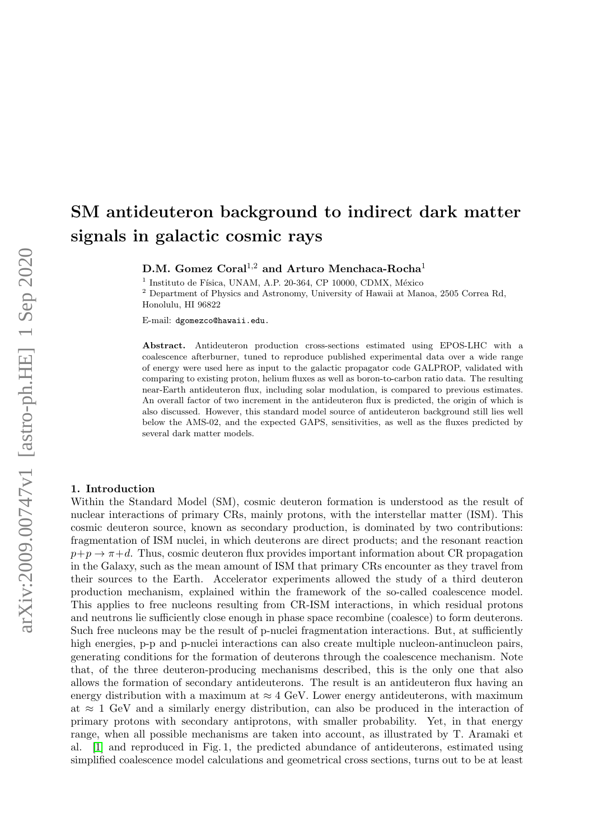# SM antideuteron background to indirect dark matter signals in galactic cosmic rays

D.M. Gomez Coral<sup>1,2</sup> and Arturo Menchaca-Rocha<sup>1</sup>

1 Instituto de Física, UNAM, A.P. 20-364, CP 10000, CDMX, México

<sup>2</sup> Department of Physics and Astronomy, University of Hawaii at Manoa, 2505 Correa Rd, Honolulu, HI 96822

E-mail: dgomezco@hawaii.edu.

Abstract. Antideuteron production cross-sections estimated using EPOS-LHC with a coalescence afterburner, tuned to reproduce published experimental data over a wide range of energy were used here as input to the galactic propagator code GALPROP, validated with comparing to existing proton, helium fluxes as well as boron-to-carbon ratio data. The resulting near-Earth antideuteron flux, including solar modulation, is compared to previous estimates. An overall factor of two increment in the antideuteron flux is predicted, the origin of which is also discussed. However, this standard model source of antideuteron background still lies well below the AMS-02, and the expected GAPS, sensitivities, as well as the fluxes predicted by several dark matter models.

#### 1. Introduction

Within the Standard Model (SM), cosmic deuteron formation is understood as the result of nuclear interactions of primary CRs, mainly protons, with the interstellar matter (ISM). This cosmic deuteron source, known as secondary production, is dominated by two contributions: fragmentation of ISM nuclei, in which deuterons are direct products; and the resonant reaction  $p+p\rightarrow \pi+d$ . Thus, cosmic deuteron flux provides important information about CR propagation in the Galaxy, such as the mean amount of ISM that primary CRs encounter as they travel from their sources to the Earth. Accelerator experiments allowed the study of a third deuteron production mechanism, explained within the framework of the so-called coalescence model. This applies to free nucleons resulting from CR-ISM interactions, in which residual protons and neutrons lie sufficiently close enough in phase space recombine (coalesce) to form deuterons. Such free nucleons may be the result of p-nuclei fragmentation interactions. But, at sufficiently high energies, p-p and p-nuclei interactions can also create multiple nucleon-antinucleon pairs, generating conditions for the formation of deuterons through the coalescence mechanism. Note that, of the three deuteron-producing mechanisms described, this is the only one that also allows the formation of secondary antideuterons. The result is an antideuteron flux having an energy distribution with a maximum at  $\approx 4$  GeV. Lower energy antideuterons, with maximum at  $\approx 1$  GeV and a similarly energy distribution, can also be produced in the interaction of primary protons with secondary antiprotons, with smaller probability. Yet, in that energy range, when all possible mechanisms are taken into account, as illustrated by T. Aramaki et al. [\[1\]](#page-7-0) and reproduced in Fig. 1, the predicted abundance of antideuterons, estimated using simplified coalescence model calculations and geometrical cross sections, turns out to be at least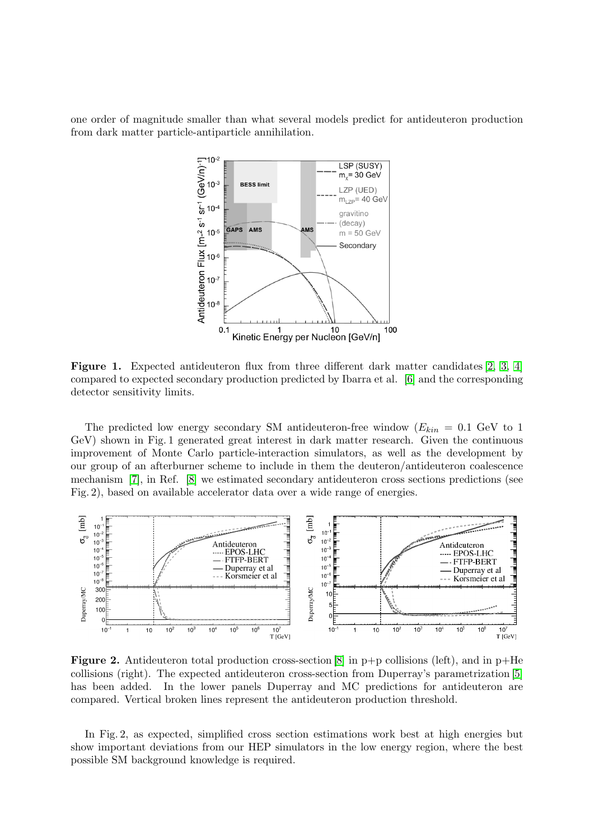one order of magnitude smaller than what several models predict for antideuteron production from dark matter particle-antiparticle annihilation.



Figure 1. Expected antideuteron flux from three different dark matter candidates [\[2,](#page-7-1) [3,](#page-7-2) [4\]](#page-7-3) compared to expected secondary production predicted by Ibarra et al. [\[6\]](#page-7-4) and the corresponding detector sensitivity limits.

The predicted low energy secondary SM antideuteron-free window  $(E_{kin} = 0.1 \text{ GeV to 1})$ GeV) shown in Fig. 1 generated great interest in dark matter research. Given the continuous improvement of Monte Carlo particle-interaction simulators, as well as the development by our group of an afterburner scheme to include in them the deuteron/antideuteron coalescence mechanism [\[7\]](#page-7-5), in Ref. [\[8\]](#page-7-6) we estimated secondary antideuteron cross sections predictions (see Fig. 2), based on available accelerator data over a wide range of energies.



**Figure 2.** Antideuteron total production cross-section [\[8\]](#page-7-6) in  $p+p$  collisions (left), and in  $p+He$ collisions (right). The expected antideuteron cross-section from Duperray's parametrization [\[5\]](#page-7-7) has been added. In the lower panels Duperray and MC predictions for antideuteron are compared. Vertical broken lines represent the antideuteron production threshold.

In Fig. 2, as expected, simplified cross section estimations work best at high energies but show important deviations from our HEP simulators in the low energy region, where the best possible SM background knowledge is required.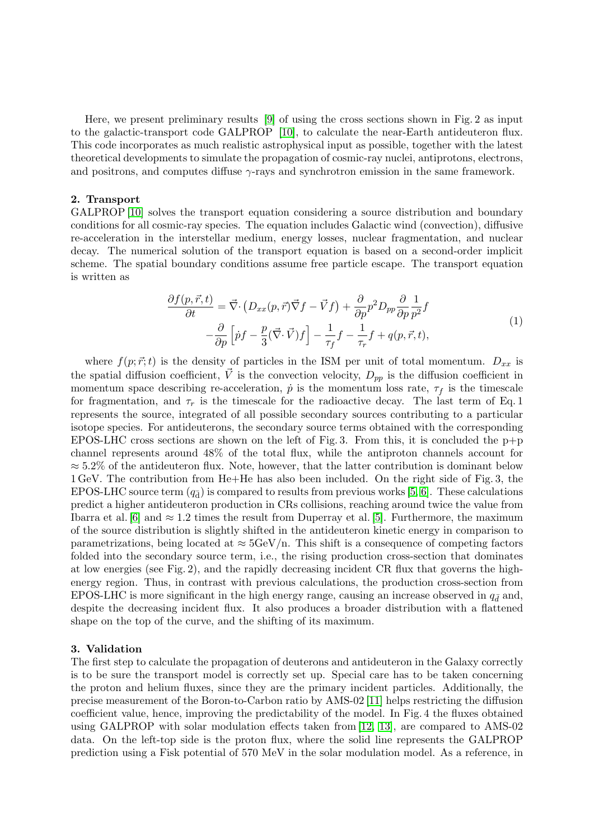Here, we present preliminary results [\[9\]](#page-7-8) of using the cross sections shown in Fig. 2 as input to the galactic-transport code GALPROP [\[10\]](#page-7-9), to calculate the near-Earth antideuteron flux. This code incorporates as much realistic astrophysical input as possible, together with the latest theoretical developments to simulate the propagation of cosmic-ray nuclei, antiprotons, electrons, and positrons, and computes diffuse  $\gamma$ -rays and synchrotron emission in the same framework.

### 2. Transport

GALPROP [\[10\]](#page-7-9) solves the transport equation considering a source distribution and boundary conditions for all cosmic-ray species. The equation includes Galactic wind (convection), diffusive re-acceleration in the interstellar medium, energy losses, nuclear fragmentation, and nuclear decay. The numerical solution of the transport equation is based on a second-order implicit scheme. The spatial boundary conditions assume free particle escape. The transport equation is written as

$$
\frac{\partial f(p,\vec{r},t)}{\partial t} = \vec{\nabla} \cdot \left( D_{xx}(p,\vec{r}) \vec{\nabla} f - \vec{V} f \right) + \frac{\partial}{\partial p} p^2 D_{pp} \frac{\partial}{\partial p} \frac{1}{p^2} f \n- \frac{\partial}{\partial p} \left[ \dot{p} f - \frac{p}{3} (\vec{\nabla} \cdot \vec{V}) f \right] - \frac{1}{\tau_f} f - \frac{1}{\tau_r} f + q(p,\vec{r},t),
$$
\n(1)

where  $f(p; \vec{r};t)$  is the density of particles in the ISM per unit of total momentum.  $D_{xx}$  is the spatial diffusion coefficient,  $\vec{V}$  is the convection velocity,  $D_{pp}$  is the diffusion coefficient in momentum space describing re-acceleration,  $\dot{p}$  is the momentum loss rate,  $\tau_f$  is the timescale for fragmentation, and  $\tau_r$  is the timescale for the radioactive decay. The last term of Eq. 1 represents the source, integrated of all possible secondary sources contributing to a particular isotope species. For antideuterons, the secondary source terms obtained with the corresponding EPOS-LHC cross sections are shown on the left of Fig. 3. From this, it is concluded the  $p+p$ channel represents around 48% of the total flux, while the antiproton channels account for  $\approx$  5.2% of the antideuteron flux. Note, however, that the latter contribution is dominant below 1 GeV. The contribution from He+He has also been included. On the right side of Fig. 3, the EPOS-LHC source term  $(q_{\bar{d}})$  is compared to results from previous works [\[5,](#page-7-7) [6\]](#page-7-4). These calculations predict a higher antideuteron production in CRs collisions, reaching around twice the value from Ibarra et al. [\[6\]](#page-7-4) and  $\approx 1.2$  times the result from Duperray et al. [\[5\]](#page-7-7). Furthermore, the maximum of the source distribution is slightly shifted in the antideuteron kinetic energy in comparison to parametrizations, being located at  $\approx 5 \text{GeV/n}$ . This shift is a consequence of competing factors folded into the secondary source term, i.e., the rising production cross-section that dominates at low energies (see Fig. 2), and the rapidly decreasing incident CR flux that governs the highenergy region. Thus, in contrast with previous calculations, the production cross-section from EPOS-LHC is more significant in the high energy range, causing an increase observed in  $q_{\bar{d}}$  and, despite the decreasing incident flux. It also produces a broader distribution with a flattened shape on the top of the curve, and the shifting of its maximum.

# 3. Validation

The first step to calculate the propagation of deuterons and antideuteron in the Galaxy correctly is to be sure the transport model is correctly set up. Special care has to be taken concerning the proton and helium fluxes, since they are the primary incident particles. Additionally, the precise measurement of the Boron-to-Carbon ratio by AMS-02 [\[11\]](#page-7-10) helps restricting the diffusion coefficient value, hence, improving the predictability of the model. In Fig. 4 the fluxes obtained using GALPROP with solar modulation effects taken from [\[12,](#page-7-11) [13\]](#page-7-12), are compared to AMS-02 data. On the left-top side is the proton flux, where the solid line represents the GALPROP prediction using a Fisk potential of 570 MeV in the solar modulation model. As a reference, in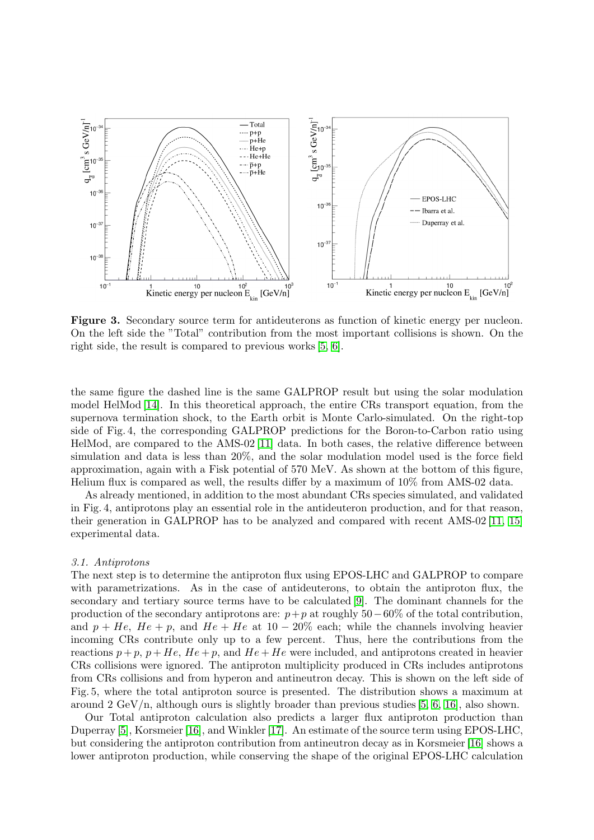

Figure 3. Secondary source term for antideuterons as function of kinetic energy per nucleon. On the left side the "Total" contribution from the most important collisions is shown. On the right side, the result is compared to previous works [\[5,](#page-7-7) [6\]](#page-7-4).

the same figure the dashed line is the same GALPROP result but using the solar modulation model HelMod [\[14\]](#page-7-13). In this theoretical approach, the entire CRs transport equation, from the supernova termination shock, to the Earth orbit is Monte Carlo-simulated. On the right-top side of Fig. 4, the corresponding GALPROP predictions for the Boron-to-Carbon ratio using HelMod, are compared to the AMS-02 [\[11\]](#page-7-10) data. In both cases, the relative difference between simulation and data is less than 20%, and the solar modulation model used is the force field approximation, again with a Fisk potential of 570 MeV. As shown at the bottom of this figure, Helium flux is compared as well, the results differ by a maximum of 10% from AMS-02 data.

As already mentioned, in addition to the most abundant CRs species simulated, and validated in Fig. 4, antiprotons play an essential role in the antideuteron production, and for that reason, their generation in GALPROP has to be analyzed and compared with recent AMS-02 [\[11,](#page-7-10) [15\]](#page-7-14) experimental data.

#### 3.1. Antiprotons

The next step is to determine the antiproton flux using EPOS-LHC and GALPROP to compare with parametrizations. As in the case of antideuterons, to obtain the antiproton flux, the secondary and tertiary source terms have to be calculated [\[9\]](#page-7-8). The dominant channels for the production of the secondary antiprotons are:  $p+p$  at roughly 50−60% of the total contribution, and  $p + He$ ,  $He + p$ , and  $He + He$  at 10 − 20% each; while the channels involving heavier incoming CRs contribute only up to a few percent. Thus, here the contributions from the reactions  $p + p$ ,  $p + He$ ,  $He + p$ , and  $He + He$  were included, and antiprotons created in heavier CRs collisions were ignored. The antiproton multiplicity produced in CRs includes antiprotons from CRs collisions and from hyperon and antineutron decay. This is shown on the left side of Fig. 5, where the total antiproton source is presented. The distribution shows a maximum at around 2 GeV/n, although ours is slightly broader than previous studies [\[5,](#page-7-7) [6,](#page-7-4) [16\]](#page-7-15), also shown.

Our Total antiproton calculation also predicts a larger flux antiproton production than Duperray [\[5\]](#page-7-7), Korsmeier [\[16\]](#page-7-15), and Winkler [\[17\]](#page-7-16). An estimate of the source term using EPOS-LHC, but considering the antiproton contribution from antineutron decay as in Korsmeier [\[16\]](#page-7-15) shows a lower antiproton production, while conserving the shape of the original EPOS-LHC calculation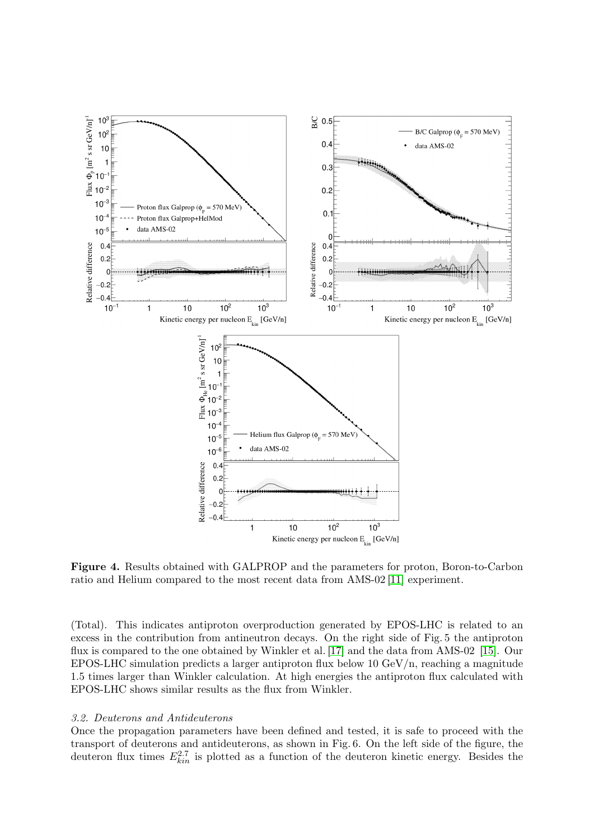

Figure 4. Results obtained with GALPROP and the parameters for proton, Boron-to-Carbon ratio and Helium compared to the most recent data from AMS-02 [\[11\]](#page-7-10) experiment.

(Total). This indicates antiproton overproduction generated by EPOS-LHC is related to an excess in the contribution from antineutron decays. On the right side of Fig. 5 the antiproton flux is compared to the one obtained by Winkler et al. [\[17\]](#page-7-16) and the data from AMS-02 [\[15\]](#page-7-14). Our EPOS-LHC simulation predicts a larger antiproton flux below 10 GeV/n, reaching a magnitude 1.5 times larger than Winkler calculation. At high energies the antiproton flux calculated with EPOS-LHC shows similar results as the flux from Winkler.

# 3.2. Deuterons and Antideuterons

Once the propagation parameters have been defined and tested, it is safe to proceed with the transport of deuterons and antideuterons, as shown in Fig. 6. On the left side of the figure, the deuteron flux times  $E_{kin}^{2.7}$  is plotted as a function of the deuteron kinetic energy. Besides the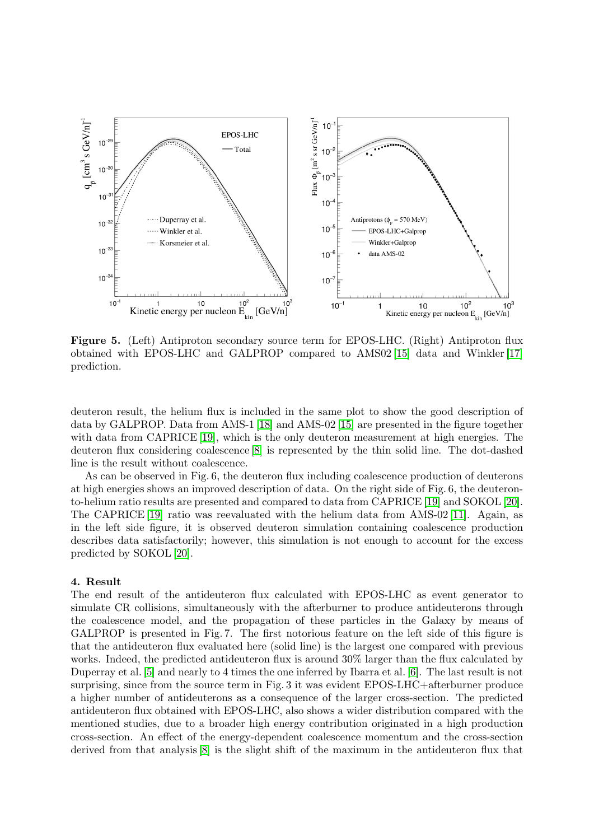

Figure 5. (Left) Antiproton secondary source term for EPOS-LHC. (Right) Antiproton flux obtained with EPOS-LHC and GALPROP compared to AMS02 [\[15\]](#page-7-14) data and Winkler [\[17\]](#page-7-16) prediction.

deuteron result, the helium flux is included in the same plot to show the good description of data by GALPROP. Data from AMS-1 [\[18\]](#page-7-17) and AMS-02 [\[15\]](#page-7-14) are presented in the figure together with data from CAPRICE [\[19\]](#page-7-18), which is the only deuteron measurement at high energies. The deuteron flux considering coalescence [\[8\]](#page-7-6) is represented by the thin solid line. The dot-dashed line is the result without coalescence.

As can be observed in Fig. 6, the deuteron flux including coalescence production of deuterons at high energies shows an improved description of data. On the right side of Fig. 6, the deuteronto-helium ratio results are presented and compared to data from CAPRICE [\[19\]](#page-7-18) and SOKOL [\[20\]](#page-7-19). The CAPRICE [\[19\]](#page-7-18) ratio was reevaluated with the helium data from AMS-02 [\[11\]](#page-7-10). Again, as in the left side figure, it is observed deuteron simulation containing coalescence production describes data satisfactorily; however, this simulation is not enough to account for the excess predicted by SOKOL [\[20\]](#page-7-19).

#### 4. Result

The end result of the antideuteron flux calculated with EPOS-LHC as event generator to simulate CR collisions, simultaneously with the afterburner to produce antideuterons through the coalescence model, and the propagation of these particles in the Galaxy by means of GALPROP is presented in Fig. 7. The first notorious feature on the left side of this figure is that the antideuteron flux evaluated here (solid line) is the largest one compared with previous works. Indeed, the predicted antideuteron flux is around 30% larger than the flux calculated by Duperray et al. [\[5\]](#page-7-7) and nearly to 4 times the one inferred by Ibarra et al. [\[6\]](#page-7-4). The last result is not surprising, since from the source term in Fig. 3 it was evident EPOS-LHC+afterburner produce a higher number of antideuterons as a consequence of the larger cross-section. The predicted antideuteron flux obtained with EPOS-LHC, also shows a wider distribution compared with the mentioned studies, due to a broader high energy contribution originated in a high production cross-section. An effect of the energy-dependent coalescence momentum and the cross-section derived from that analysis [\[8\]](#page-7-6) is the slight shift of the maximum in the antideuteron flux that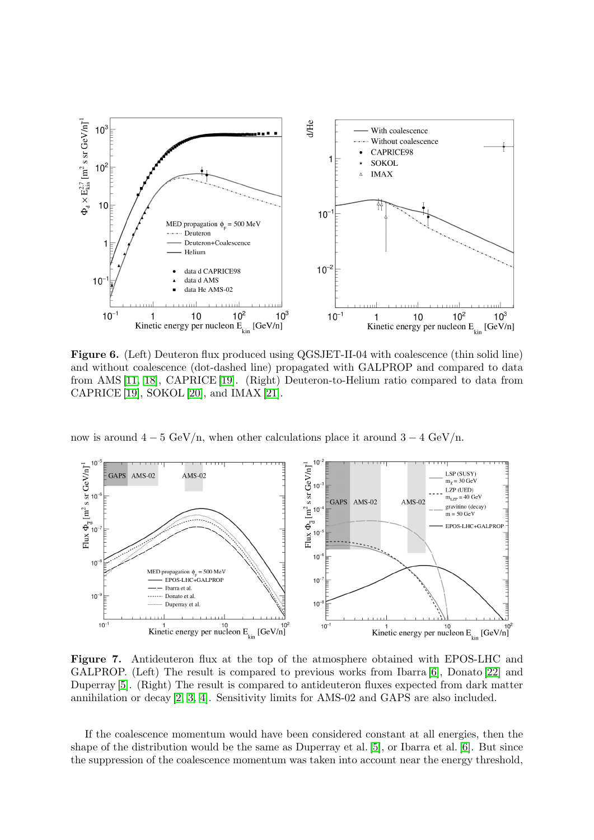

Figure 6. (Left) Deuteron flux produced using QGSJET-II-04 with coalescence (thin solid line) and without coalescence (dot-dashed line) propagated with GALPROP and compared to data from AMS [\[11,](#page-7-10) [18\]](#page-7-17), CAPRICE [\[19\]](#page-7-18). (Right) Deuteron-to-Helium ratio compared to data from CAPRICE [\[19\]](#page-7-18), SOKOL [\[20\]](#page-7-19), and IMAX [\[21\]](#page-7-20).

now is around  $4-5 \text{ GeV}/n$ , when other calculations place it around  $3-4 \text{ GeV}/n$ .



Figure 7. Antideuteron flux at the top of the atmosphere obtained with EPOS-LHC and GALPROP. (Left) The result is compared to previous works from Ibarra [\[6\]](#page-7-4), Donato [\[22\]](#page-7-21) and Duperray [\[5\]](#page-7-7). (Right) The result is compared to antideuteron fluxes expected from dark matter annihilation or decay [\[2,](#page-7-1) [3,](#page-7-2) [4\]](#page-7-3). Sensitivity limits for AMS-02 and GAPS are also included.

If the coalescence momentum would have been considered constant at all energies, then the shape of the distribution would be the same as Duperray et al. [\[5\]](#page-7-7), or Ibarra et al. [\[6\]](#page-7-4). But since the suppression of the coalescence momentum was taken into account near the energy threshold,